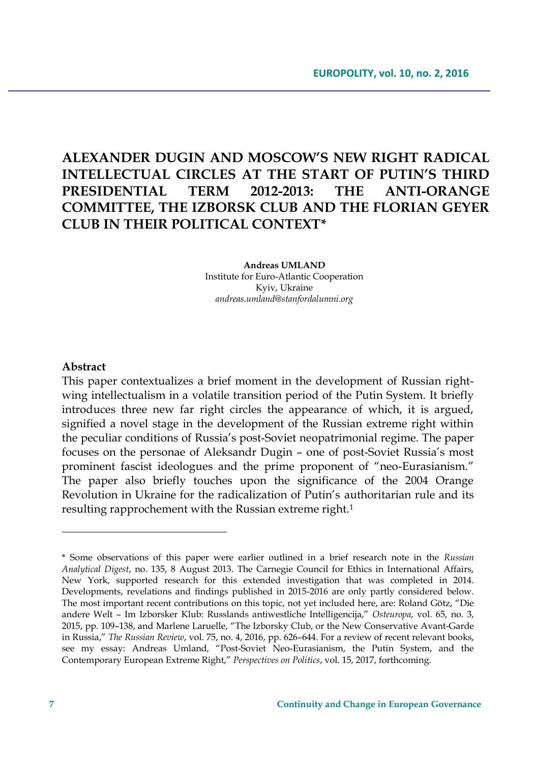# **ALEXANDER DUGIN AND MOSCOW'S NEW RIGHT RADICAL INTELLECTUAL CIRCLES AT THE START OF PUTIN'S THIRD PRESIDENTIAL TERM 2012-2013: THE ANTI-ORANGE COMMITTEE, THE IZBORSK CLUB AND THE FLORIAN GEYER CLUB IN THEIR POLITICAL CONTEXT\***

**Andreas UMLAND** Institute for Euro-Atlantic Cooperation Kyiv, Ukraine *andreas.umland@stanfordalumni.org*

#### **Abstract**

This paper contextualizes a brief moment in the development of Russian rightwing intellectualism in a volatile transition period of the Putin System. It briefly introduces three new far right circles the appearance of which, it is argued, signified a novel stage in the development of the Russian extreme right within the peculiar conditions of Russia's post-Soviet neopatrimonial regime. The paper focuses on the personae of Aleksandr Dugin – one of post-Soviet Russia's most prominent fascist ideologues and the prime proponent of "neo-Eurasianism." The paper also briefly touches upon the significance of the 2004 Orange Revolution in Ukraine for the radicalization of Putin's authoritarian rule and its resulting rapprochement with the Russian extreme right.<sup>1</sup>

<sup>\*</sup> Some observations of this paper were earlier outlined in a brief research note in the *Russian Analytical Digest*, no. 135, 8 August 2013. The Carnegie Council for Ethics in International Affairs, New York, supported research for this extended investigation that was completed in 2014. Developments, revelations and findings published in 2015-2016 are only partly considered below. The most important recent contributions on this topic, not yet included here, are: Roland Götz, "Die andere Welt – Im Izborsker Klub: Russlands antiwestliche Intelligencija," *Osteuropa*, vol. 65, no. 3, 2015, pp. 109–138, and Marlene Laruelle, "The Izborsky Club, or the New Conservative Avant-Garde in Russia," *The Russian Review*, vol. 75, no. 4, 2016, pp. 626–644. For a review of recent relevant books, see my essay: Andreas Umland, "Post-Soviet Neo-Eurasianism, the Putin System, and the Contemporary European Extreme Right," *Perspectives on Politics*, vol. 15, 2017, forthcoming.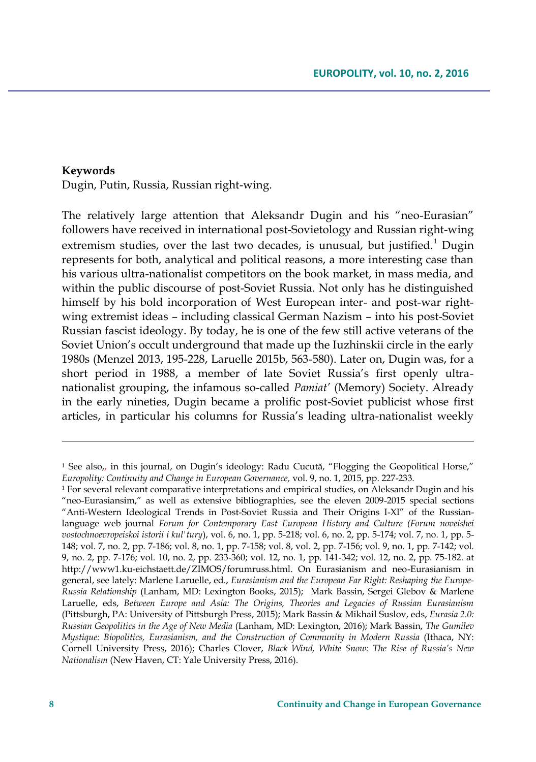#### **Keywords**

Dugin, Putin, Russia, Russian right-wing.

The relatively large attention that Aleksandr Dugin and his "neo-Eurasian" followers have received in international post-Sovietology and Russian right-wing extremism studies, over the last two decades, is unusual, but justified.<sup>1</sup> Dugin represents for both, analytical and political reasons, a more interesting case than his various ultra-nationalist competitors on the book market, in mass media, and within the public discourse of post-Soviet Russia. Not only has he distinguished himself by his bold incorporation of West European inter- and post-war rightwing extremist ideas – including classical German Nazism – into his post-Soviet Russian fascist ideology. By today, he is one of the few still active veterans of the Soviet Union's occult underground that made up the Iuzhinskii circle in the early 1980s (Menzel 2013, 195-228, Laruelle 2015b, 563-580). Later on, Dugin was, for a short period in 1988, a member of late Soviet Russia's first openly ultranationalist grouping, the infamous so-called *Pamiat'* (Memory) Society. Already in the early nineties, Dugin became a prolific post-Soviet publicist whose first articles, in particular his columns for Russia's leading ultra-nationalist weekly

<sup>1</sup> See also,, in this journal, on Dugin's ideology: Radu Cucută, "Flogging the Geopolitical Horse," *Europolity: Continuity and Change in European Governance,* vol. 9, no. 1, 2015, pp. 227-233.

 $1$  For several relevant comparative interpretations and empirical studies, on Aleksandr Dugin and his "neo-Eurasiansim," as well as extensive bibliographies, see the eleven 2009-2015 special sections "Anti-Western Ideological Trends in Post-Soviet Russia and Their Origins I-XI" of the Russianlanguage web journal *Forum for Contemporary East European History and Culture (Forum noveishei vostochnoevropeiskoi istorii i kul'tury*), vol. 6, no. 1, pp. 5-218; vol. 6, no. 2, pp. 5-174; vol. 7, no. 1, pp. 5- 148; vol. 7, no. 2, pp. 7-186; vol. 8, no. 1, pp. 7-158; vol. 8, vol. 2, pp. 7-156; vol. 9, no. 1, pp. 7-142; vol. 9, no. 2, pp. 7-176; vol. 10, no. 2, pp. 233-360; vol. 12, no. 1, pp. 141-342; vol. 12, no. 2, pp. 75-182. at http://www1.ku-eichstaett.de/ZIMOS/forumruss.html. On Eurasianism and neo-Eurasianism in general, see lately: Marlene Laruelle, ed., *Eurasianism and the European Far Right: Reshaping the Europe-Russia Relationship* (Lanham, MD: Lexington Books, 2015); Mark Bassin, Sergei Glebov & Marlene Laruelle, eds, *Between Europe and Asia: The Origins, Theories and Legacies of Russian Eurasianism* (Pittsburgh, PA: University of Pittsburgh Press, 2015); Mark Bassin & Mikhail Suslov, eds, *Eurasia 2.0: Russian Geopolitics in the Age of New Media* (Lanham, MD: Lexington, 2016); Mark Bassin, *The Gumilev Mystique: Biopolitics, Eurasianism, and the Construction of Community in Modern Russia* (Ithaca, NY: Cornell University Press, 2016); Charles Clover, *Black Wind, White Snow: The Rise of Russia's New Nationalism* (New Haven, CT: Yale University Press, 2016).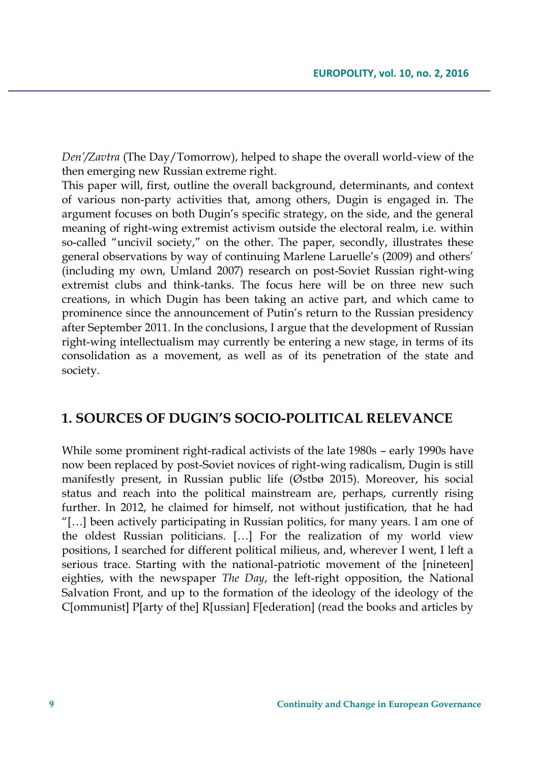*Den'/Zavtra* (The Day/Tomorrow), helped to shape the overall world-view of the then emerging new Russian extreme right.

This paper will, first, outline the overall background, determinants, and context of various non-party activities that, among others, Dugin is engaged in. The argument focuses on both Dugin's specific strategy, on the side, and the general meaning of right-wing extremist activism outside the electoral realm, i.e. within so-called "uncivil society," on the other. The paper, secondly, illustrates these general observations by way of continuing Marlene Laruelle's (2009) and others' (including my own, Umland 2007) research on post-Soviet Russian right-wing extremist clubs and think-tanks. The focus here will be on three new such creations, in which Dugin has been taking an active part, and which came to prominence since the announcement of Putin's return to the Russian presidency after September 2011. In the conclusions, I argue that the development of Russian right-wing intellectualism may currently be entering a new stage, in terms of its consolidation as a movement, as well as of its penetration of the state and society.

#### **1. SOURCES OF DUGIN'S SOCIO-POLITICAL RELEVANCE**

While some prominent right-radical activists of the late 1980s – early 1990s have now been replaced by post-Soviet novices of right-wing radicalism, Dugin is still manifestly present, in Russian public life (Østbø 2015). Moreover, his social status and reach into the political mainstream are, perhaps, currently rising further. In 2012, he claimed for himself, not without justification, that he had "[…] been actively participating in Russian politics, for many years. I am one of the oldest Russian politicians. […] For the realization of my world view positions, I searched for different political milieus, and, wherever I went, I left a serious trace. Starting with the national-patriotic movement of the [nineteen] eighties, with the newspaper *The Day*, the left-right opposition, the National Salvation Front, and up to the formation of the ideology of the ideology of the C[ommunist] P[arty of the] R[ussian] F[ederation] (read the books and articles by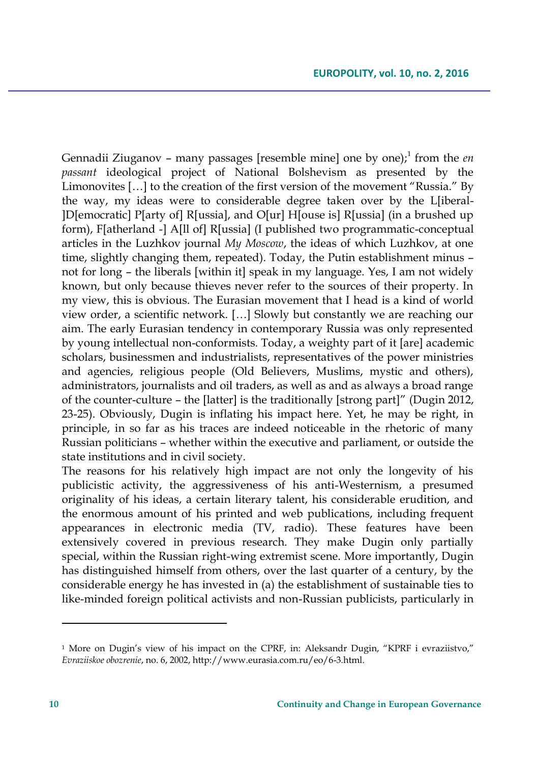Gennadii Ziuganov - many passages [resemble mine] one by one);<sup>1</sup> from the *en passant* ideological project of National Bolshevism as presented by the Limonovites […] to the creation of the first version of the movement "Russia." By the way, my ideas were to considerable degree taken over by the L[iberal- ]D[emocratic] P[arty of] R[ussia], and O[ur] H[ouse is] R[ussia] (in a brushed up form), F[atherland -] A[ll of] R[ussia] (I published two programmatic-conceptual articles in the Luzhkov journal *My Moscow*, the ideas of which Luzhkov, at one time, slightly changing them, repeated). Today, the Putin establishment minus – not for long – the liberals [within it] speak in my language. Yes, I am not widely known, but only because thieves never refer to the sources of their property. In my view, this is obvious. The Eurasian movement that I head is a kind of world view order, a scientific network. […] Slowly but constantly we are reaching our aim. The early Eurasian tendency in contemporary Russia was only represented by young intellectual non-conformists. Today, a weighty part of it [are] academic scholars, businessmen and industrialists, representatives of the power ministries and agencies, religious people (Old Believers, Muslims, mystic and others), administrators, journalists and oil traders, as well as and as always a broad range of the counter-culture – the [latter] is the traditionally [strong part]" (Dugin 2012, 23-25). Obviously, Dugin is inflating his impact here. Yet, he may be right, in principle, in so far as his traces are indeed noticeable in the rhetoric of many Russian politicians – whether within the executive and parliament, or outside the state institutions and in civil society.

The reasons for his relatively high impact are not only the longevity of his publicistic activity, the aggressiveness of his anti-Westernism, a presumed originality of his ideas, a certain literary talent, his considerable erudition, and the enormous amount of his printed and web publications, including frequent appearances in electronic media (TV, radio). These features have been extensively covered in previous research. They make Dugin only partially special, within the Russian right-wing extremist scene. More importantly, Dugin has distinguished himself from others, over the last quarter of a century, by the considerable energy he has invested in (a) the establishment of sustainable ties to like-minded foreign political activists and non-Russian publicists, particularly in

<sup>&</sup>lt;sup>1</sup> More on Dugin's view of his impact on the CPRF, in: Aleksandr Dugin, "KPRF i evraziistvo," *Evraziiskoe obozrenie*, no. 6, 2002, http://www.eurasia.com.ru/eo/6-3.html.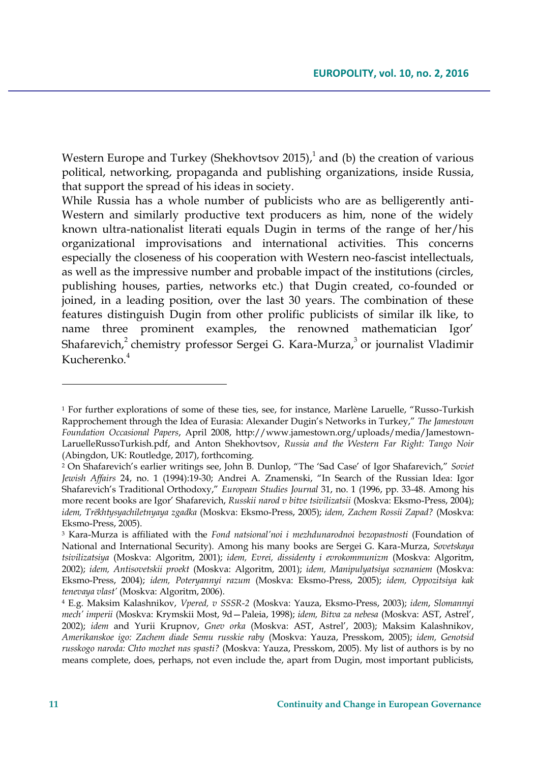Western Europe and Turkey (Shekhovtsov 2015), $^1$  and (b) the creation of various political, networking, propaganda and publishing organizations, inside Russia, that support the spread of his ideas in society.

While Russia has a whole number of publicists who are as belligerently anti-Western and similarly productive text producers as him, none of the widely known ultra-nationalist literati equals Dugin in terms of the range of her/his organizational improvisations and international activities. This concerns especially the closeness of his cooperation with Western neo-fascist intellectuals, as well as the impressive number and probable impact of the institutions (circles, publishing houses, parties, networks etc.) that Dugin created, co-founded or joined, in a leading position, over the last 30 years. The combination of these features distinguish Dugin from other prolific publicists of similar ilk like, to name three prominent examples, the renowned mathematician Igor' Shafarevich, $^2$  chemistry professor Sergei G. Kara-Murza, $^3$  or journalist Vladimir Kucherenko $4$ 

<sup>1</sup> For further explorations of some of these ties, see, for instance, Marlène Laruelle, "Russo-Turkish Rapprochement through the Idea of Eurasia: Alexander Dugin's Networks in Turkey," *The Jamestown Foundation Occasional Papers*, April 2008, http://www.jamestown.org/uploads/media/Jamestown-LaruelleRussoTurkish.pdf, and Anton Shekhovtsov, *Russia and the Western Far Right: Tango Noir* (Abingdon, UK: Routledge, 2017), forthcoming.

<sup>2</sup> On Shafarevich's earlier writings see, John B. Dunlop, "The 'Sad Case' of Igor Shafarevich," *Soviet Jewish Affairs* 24, no. 1 (1994):19-30; Andrei A. Znamenski, "In Search of the Russian Idea: Igor Shafarevich's Traditional Orthodoxy," *European Studies Journal* 31, no. 1 (1996, pp. 33-48. Among his more recent books are Igor' Shafarevich, *Russkii narod v bitve tsivilizatsii* (Moskva: Eksmo-Press, 2004); *idem, Trëkhtysyachiletnyaya zgadka* (Moskva: Eksmo-Press, 2005); *idem, Zachem Rossii Zapad?* (Moskva: Eksmo-Press, 2005).

<sup>3</sup> Kara-Murza is affiliated with the *Fond natsional'noi i mezhdunarodnoi bezopastnosti* (Foundation of National and International Security). Among his many books are Sergei G. Kara-Murza, *Sovetskaya tsivilizatsiya* (Moskva: Algoritm, 2001); *idem, Evrei, dissidenty i evrokommunizm* (Moskva: Algoritm, 2002); *idem, Antisovetskii proekt* (Moskva: Algoritm, 2001); *idem, Manipulyatsiya soznaniem* (Moskva: Eksmo-Press, 2004); *idem, Poteryannyi razum* (Moskva: Eksmo-Press, 2005); *idem, Oppozitsiya kak tenevaya vlast'* (Moskva: Algoritm, 2006).

<sup>4</sup> E.g. Maksim Kalashnikov, *Vpered, v SSSR-2* (Moskva: Yauza, Eksmo-Press, 2003); *idem*, *Slomannyi mech' imperii* (Moskva: Krymskii Most, 9d—Paleia, 1998); *idem, Bitva za nebesa* (Moskva: AST, Astrel', 2002); *idem* and Yurii Krupnov, *Gnev orka* (Moskva: AST, Astrel', 2003); Maksim Kalashnikov, *Amerikanskoe igo: Zachem diade Semu russkie raby* (Moskva: Yauza, Presskom, 2005); *idem, Genotsid russkogo naroda: Chto mozhet nas spasti?* (Moskva: Yauza, Presskom, 2005). My list of authors is by no means complete, does, perhaps, not even include the, apart from Dugin, most important publicists,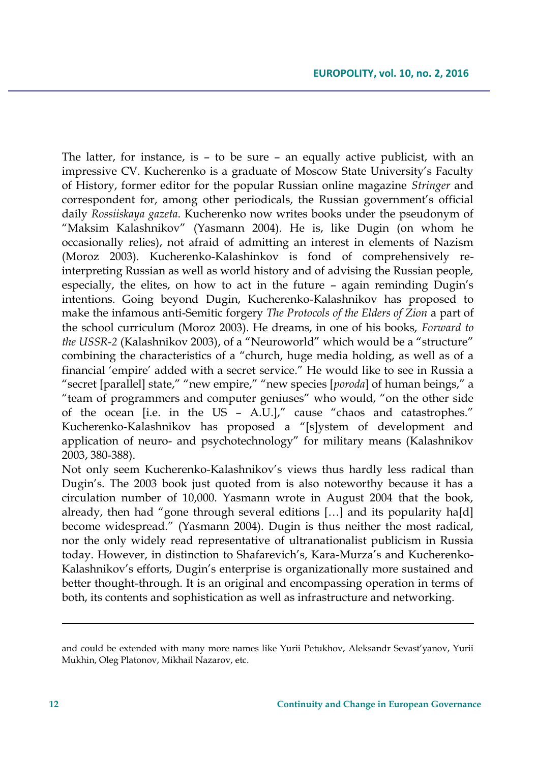The latter, for instance, is – to be sure – an equally active publicist, with an impressive CV. Kucherenko is a graduate of Moscow State University's Faculty of History, former editor for the popular Russian online magazine *Stringer* and correspondent for, among other periodicals, the Russian government's official daily *Rossiiskaya gazeta*. Kucherenko now writes books under the pseudonym of "Maksim Kalashnikov" (Yasmann 2004). He is, like Dugin (on whom he occasionally relies), not afraid of admitting an interest in elements of Nazism (Moroz 2003). Kucherenko-Kalashinkov is fond of comprehensively reinterpreting Russian as well as world history and of advising the Russian people, especially, the elites, on how to act in the future – again reminding Dugin's intentions. Going beyond Dugin, Kucherenko-Kalashnikov has proposed to make the infamous anti-Semitic forgery *The Protocols of the Elders of Zion* a part of the school curriculum (Moroz 2003). He dreams, in one of his books, *Forward to the USSR-2* (Kalashnikov 2003), of a "Neuroworld" which would be a "structure" combining the characteristics of a "church, huge media holding, as well as of a financial 'empire' added with a secret service." He would like to see in Russia a "secret [parallel] state," "new empire," "new species [*poroda*] of human beings," a "team of programmers and computer geniuses" who would, "on the other side of the ocean [i.e. in the US – A.U.]," cause "chaos and catastrophes." Kucherenko-Kalashnikov has proposed a "[s]ystem of development and application of neuro- and psychotechnology" for military means (Kalashnikov 2003, 380-388).

Not only seem Kucherenko-Kalashnikov's views thus hardly less radical than Dugin's. The 2003 book just quoted from is also noteworthy because it has a circulation number of 10,000. Yasmann wrote in August 2004 that the book, already, then had "gone through several editions […] and its popularity ha[d] become widespread." (Yasmann 2004). Dugin is thus neither the most radical, nor the only widely read representative of ultranationalist publicism in Russia today. However, in distinction to Shafarevich's, Kara-Murza's and Kucherenko-Kalashnikov's efforts, Dugin's enterprise is organizationally more sustained and better thought-through. It is an original and encompassing operation in terms of both, its contents and sophistication as well as infrastructure and networking.

and could be extended with many more names like Yurii Petukhov, Aleksandr Sevast'yanov, Yurii Mukhin, Oleg Platonov, Mikhail Nazarov, etc.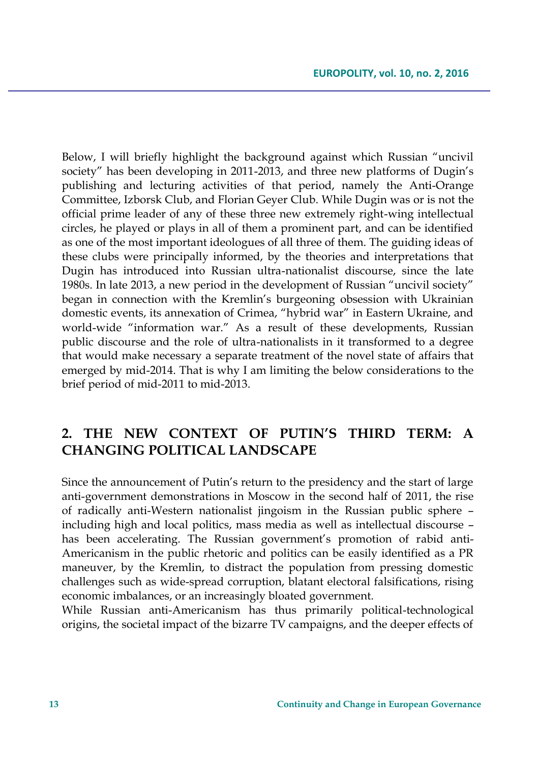Below, I will briefly highlight the background against which Russian "uncivil society" has been developing in 2011-2013, and three new platforms of Dugin's publishing and lecturing activities of that period, namely the Anti-Orange Committee, Izborsk Club, and Florian Geyer Club. While Dugin was or is not the official prime leader of any of these three new extremely right-wing intellectual circles, he played or plays in all of them a prominent part, and can be identified as one of the most important ideologues of all three of them. The guiding ideas of these clubs were principally informed, by the theories and interpretations that Dugin has introduced into Russian ultra-nationalist discourse, since the late 1980s. In late 2013, a new period in the development of Russian "uncivil society" began in connection with the Kremlin's burgeoning obsession with Ukrainian domestic events, its annexation of Crimea, "hybrid war" in Eastern Ukraine, and world-wide "information war." As a result of these developments, Russian public discourse and the role of ultra-nationalists in it transformed to a degree that would make necessary a separate treatment of the novel state of affairs that emerged by mid-2014. That is why I am limiting the below considerations to the brief period of mid-2011 to mid-2013.

## **2. THE NEW CONTEXT OF PUTIN'S THIRD TERM: A CHANGING POLITICAL LANDSCAPE**

Since the announcement of Putin's return to the presidency and the start of large anti-government demonstrations in Moscow in the second half of 2011, the rise of radically anti-Western nationalist jingoism in the Russian public sphere – including high and local politics, mass media as well as intellectual discourse – has been accelerating. The Russian government's promotion of rabid anti-Americanism in the public rhetoric and politics can be easily identified as a PR maneuver, by the Kremlin, to distract the population from pressing domestic challenges such as wide-spread corruption, blatant electoral falsifications, rising economic imbalances, or an increasingly bloated government.

While Russian anti-Americanism has thus primarily political-technological origins, the societal impact of the bizarre TV campaigns, and the deeper effects of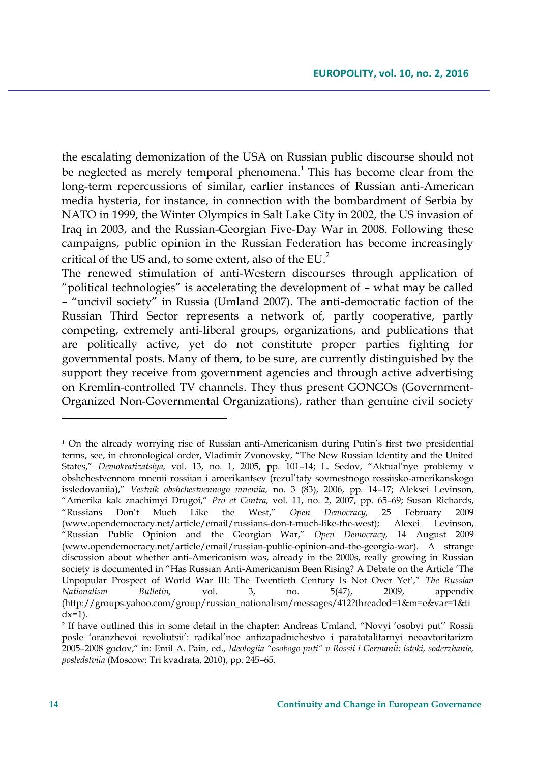the escalating demonization of the USA on Russian public discourse should not be neglected as merely temporal phenomena.<sup>1</sup> This has become clear from the long-term repercussions of similar, earlier instances of Russian anti-American media hysteria, for instance, in connection with the bombardment of Serbia by NATO in 1999, the Winter Olympics in Salt Lake City in 2002, the US invasion of Iraq in 2003, and the Russian-Georgian Five-Day War in 2008. Following these campaigns, public opinion in the Russian Federation has become increasingly critical of the US and, to some extent, also of the EU. $<sup>2</sup>$ </sup>

The renewed stimulation of anti-Western discourses through application of "political technologies" is accelerating the development of – what may be called – "uncivil society" in Russia (Umland 2007). The anti-democratic faction of the Russian Third Sector represents a network of, partly cooperative, partly competing, extremely anti-liberal groups, organizations, and publications that are politically active, yet do not constitute proper parties fighting for governmental posts. Many of them, to be sure, are currently distinguished by the support they receive from government agencies and through active advertising on Kremlin-controlled TV channels. They thus present GONGOs (Government-Organized Non-Governmental Organizations), rather than genuine civil society

<sup>1</sup> On the already worrying rise of Russian anti-Americanism during Putin's first two presidential terms, see, in chronological order, Vladimir Zvonovsky, "The New Russian Identity and the United States," *Demokratizatsiya,* vol. 13, no. 1, 2005, pp. 101–14; L. Sedov, "Aktual'nye problemy v obshchestvennom mnenii rossiian i amerikantsev (rezul'taty sovmestnogo rossiisko-amerikanskogo issledovaniia)," *Vestnik obshchestvennogo mneniia,* no. 3 (83), 2006, pp. 14–17; Aleksei Levinson, "Amerika kak znachimyi Drugoi," *Pro et Contra,* vol. 11, no. 2, 2007, pp. 65–69; Susan Richards, "Russians Don't Much Like the West," *Open Democracy,* 25 February 2009 (www.opendemocracy.net/article/email/russians-don-t-much-like-the-west); Alexei Levinson, "Russian Public Opinion and the Georgian War," *Open Democracy,* 14 August 2009 (www.opendemocracy.net/article/email/russian-public-opinion-and-the-georgia-war). A strange discussion about whether anti-Americanism was, already in the 2000s, really growing in Russian society is documented in "Has Russian Anti-Americanism Been Rising? A Debate on the Article 'The Unpopular Prospect of World War III: The Twentieth Century Is Not Over Yet'," *The Russian Nationalism Bulletin,* vol. 3, no. 5(47), 2009, appendix (http://groups.yahoo.com/group/russian\_nationalism/messages/412?threaded=1&m=e&var=1&ti  $dx=1$ ).

<sup>2</sup> If have outlined this in some detail in the chapter: Andreas Umland, "Novyi 'osobyi put'' Rossii posle 'oranzhevoi revoliutsii': radikal'noe antizapadnichestvo i paratotalitarnyi neoavtoritarizm 2005–2008 godov," in: Emil A. Pain, ed., *Ideologiia "osobogo puti" v Rossii i Germanii: istoki, soderzhanie, posledstviia* (Moscow: Tri kvadrata, 2010), pp. 245–65.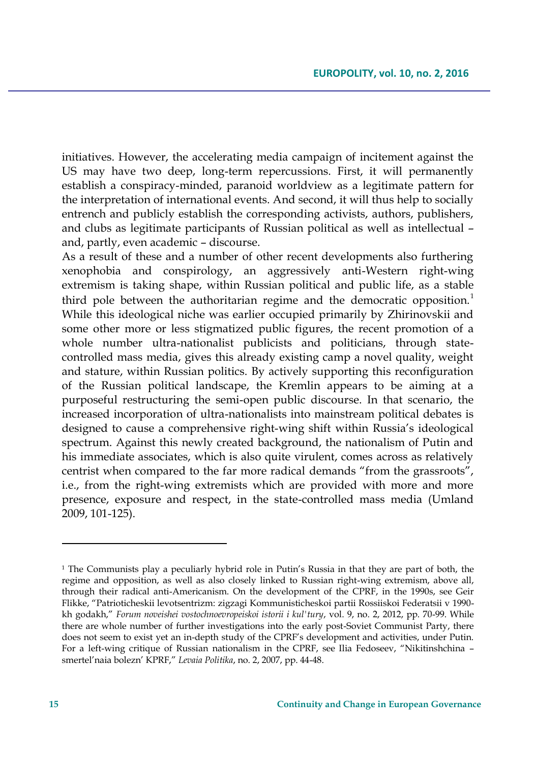initiatives. However, the accelerating media campaign of incitement against the US may have two deep, long-term repercussions. First, it will permanently establish a conspiracy-minded, paranoid worldview as a legitimate pattern for the interpretation of international events. And second, it will thus help to socially entrench and publicly establish the corresponding activists, authors, publishers, and clubs as legitimate participants of Russian political as well as intellectual – and, partly, even academic – discourse.

As a result of these and a number of other recent developments also furthering xenophobia and conspirology, an aggressively anti-Western right-wing extremism is taking shape, within Russian political and public life, as a stable third pole between the authoritarian regime and the democratic opposition.<sup>1</sup> While this ideological niche was earlier occupied primarily by Zhirinovskii and some other more or less stigmatized public figures, the recent promotion of a whole number ultra-nationalist publicists and politicians, through statecontrolled mass media, gives this already existing camp a novel quality, weight and stature, within Russian politics. By actively supporting this reconfiguration of the Russian political landscape, the Kremlin appears to be aiming at a purposeful restructuring the semi-open public discourse. In that scenario, the increased incorporation of ultra-nationalists into mainstream political debates is designed to cause a comprehensive right-wing shift within Russia's ideological spectrum. Against this newly created background, the nationalism of Putin and his immediate associates, which is also quite virulent, comes across as relatively centrist when compared to the far more radical demands "from the grassroots", i.e., from the right-wing extremists which are provided with more and more presence, exposure and respect, in the state-controlled mass media (Umland 2009, 101-125).

 $\overline{\phantom{a}}$ 

<sup>&</sup>lt;sup>1</sup> The Communists play a peculiarly hybrid role in Putin's Russia in that they are part of both, the regime and opposition, as well as also closely linked to Russian right-wing extremism, above all, through their radical anti-Americanism. On the development of the CPRF, in the 1990s, see Geir Flikke, "Patrioticheskii levotsentrizm: zigzagi Kommunisticheskoi partii Rossiiskoi Federatsii v 1990 kh godakh," *Forum noveishei vostochnoevropeiskoi istorii i kul'tury*, vol. 9, no. 2, 2012, pp. 70-99. While there are whole number of further investigations into the early post-Soviet Communist Party, there does not seem to exist yet an in-depth study of the CPRF's development and activities, under Putin. For a left-wing critique of Russian nationalism in the CPRF, see Ilia Fedoseev, "Nikitinshchina – smertel'naia bolezn' KPRF," *Levaia Politika*, no. 2, 2007, pp. 44-48.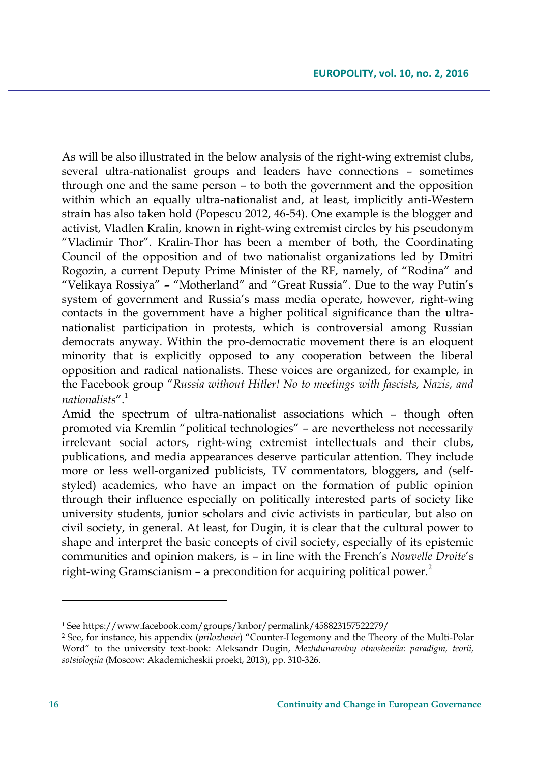As will be also illustrated in the below analysis of the right-wing extremist clubs, several ultra-nationalist groups and leaders have connections – sometimes through one and the same person – to both the government and the opposition within which an equally ultra-nationalist and, at least, implicitly anti-Western strain has also taken hold (Popescu 2012, 46-54). One example is the blogger and activist, Vladlen Kralin, known in right-wing extremist circles by his pseudonym "Vladimir Thor". Kralin-Thor has been a member of both, the Coordinating Council of the opposition and of two nationalist organizations led by Dmitri Rogozin, a current Deputy Prime Minister of the RF, namely, of "Rodina" and "Velikaya Rossiya" – "Motherland" and "Great Russia". Due to the way Putin's system of government and Russia's mass media operate, however, right-wing contacts in the government have a higher political significance than the ultranationalist participation in protests, which is controversial among Russian democrats anyway. Within the pro-democratic movement there is an eloquent minority that is explicitly opposed to any cooperation between the liberal opposition and radical nationalists. These voices are organized, for example, in the Facebook group "*Russia without Hitler! No to meetings with fascists, Nazis, and nationalists*".<sup>1</sup>

Amid the spectrum of ultra-nationalist associations which – though often promoted via Kremlin "political technologies" – are nevertheless not necessarily irrelevant social actors, right-wing extremist intellectuals and their clubs, publications, and media appearances deserve particular attention. They include more or less well-organized publicists, TV commentators, bloggers, and (selfstyled) academics, who have an impact on the formation of public opinion through their influence especially on politically interested parts of society like university students, junior scholars and civic activists in particular, but also on civil society, in general. At least, for Dugin, it is clear that the cultural power to shape and interpret the basic concepts of civil society, especially of its epistemic communities and opinion makers, is – in line with the French's *Nouvelle Droite*'s right-wing Gramscianism – a precondition for acquiring political power.<sup>2</sup>

<sup>1</sup> See https://www.facebook.com/groups/knbor/permalink/458823157522279/

<sup>2</sup> See, for instance, his appendix (*prilozhenie*) "Counter-Hegemony and the Theory of the Multi-Polar Word" to the university text-book: Aleksandr Dugin, *Mezhdunarodny otnosheniia: paradigm, teorii, sotsiologiia* (Moscow: Akademicheskii proekt, 2013), pp. 310-326.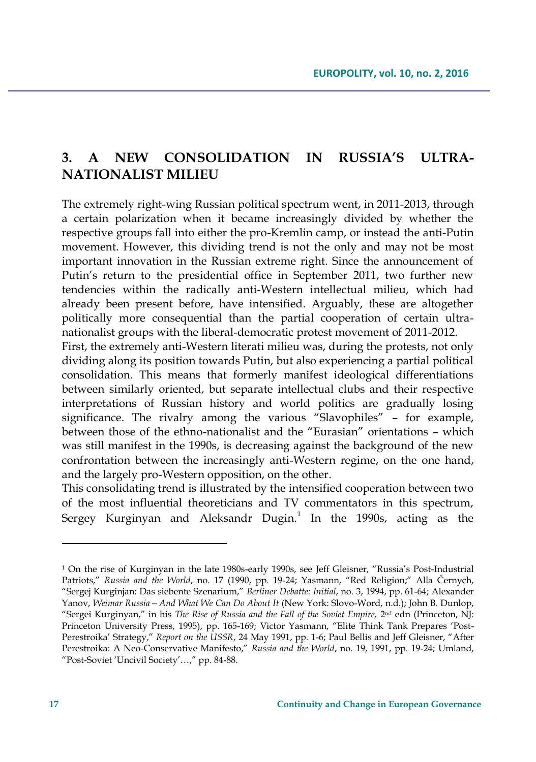## **3. A NEW CONSOLIDATION IN RUSSIA'S ULTRA-NATIONALIST MILIEU**

The extremely right-wing Russian political spectrum went, in 2011-2013, through a certain polarization when it became increasingly divided by whether the respective groups fall into either the pro-Kremlin camp, or instead the anti-Putin movement. However, this dividing trend is not the only and may not be most important innovation in the Russian extreme right. Since the announcement of Putin's return to the presidential office in September 2011, two further new tendencies within the radically anti-Western intellectual milieu, which had already been present before, have intensified. Arguably, these are altogether politically more consequential than the partial cooperation of certain ultranationalist groups with the liberal-democratic protest movement of 2011-2012.

First, the extremely anti-Western literati milieu was, during the protests, not only dividing along its position towards Putin, but also experiencing a partial political consolidation. This means that formerly manifest ideological differentiations between similarly oriented, but separate intellectual clubs and their respective interpretations of Russian history and world politics are gradually losing significance. The rivalry among the various "Slavophiles" – for example, between those of the ethno-nationalist and the "Eurasian" orientations – which was still manifest in the 1990s, is decreasing against the background of the new confrontation between the increasingly anti-Western regime, on the one hand, and the largely pro-Western opposition, on the other.

This consolidating trend is illustrated by the intensified cooperation between two of the most influential theoreticians and TV commentators in this spectrum, Sergey Kurginyan and Aleksandr Dugin. $^1$  In the 1990s, acting as the

 $\overline{\phantom{a}}$ 

<sup>1</sup> On the rise of Kurginyan in the late 1980s-early 1990s, see Jeff Gleisner, "Russia's Post-Industrial Patriots," *Russia and the World*, no. 17 (1990, pp. 19-24; Yasmann, "Red Religion;" Alla Černych, "Sergej Kurginjan: Das siebente Szenarium," *Berliner Debatte: Initial*, no. 3, 1994, pp. 61-64; Alexander Yanov, *Weimar Russia—And What We Can Do About It* (New York: Slovo-Word, n.d.); John B. Dunlop, "Sergei Kurginyan," in his *The Rise of Russia and the Fall of the Soviet Empire, 2*<sup>nd</sup> edn (Princeton, NJ: Princeton University Press, 1995), pp. 165-169; Victor Yasmann, "Elite Think Tank Prepares 'Post-Perestroika' Strategy," *Report on the USSR*, 24 May 1991, pp. 1-6; Paul Bellis and Jeff Gleisner, "After Perestroika: A Neo-Conservative Manifesto," *Russia and the World*, no. 19, 1991, pp. 19-24; Umland, "Post-Soviet 'Uncivil Society'…," pp. 84-88.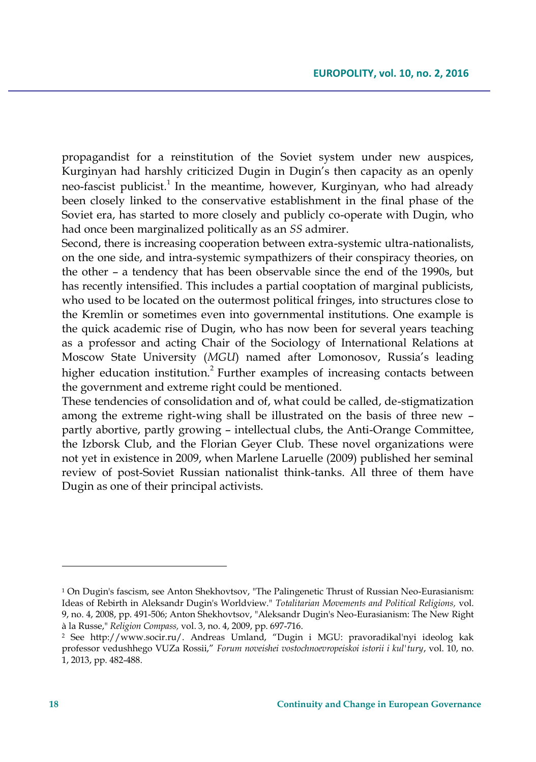propagandist for a reinstitution of the Soviet system under new auspices, Kurginyan had harshly criticized Dugin in Dugin's then capacity as an openly neo-fascist publicist.<sup>1</sup> In the meantime, however, Kurginyan, who had already been closely linked to the conservative establishment in the final phase of the Soviet era, has started to more closely and publicly co-operate with Dugin, who had once been marginalized politically as an *SS* admirer.

Second, there is increasing cooperation between extra-systemic ultra-nationalists, on the one side, and intra-systemic sympathizers of their conspiracy theories, on the other – a tendency that has been observable since the end of the 1990s, but has recently intensified. This includes a partial cooptation of marginal publicists, who used to be located on the outermost political fringes, into structures close to the Kremlin or sometimes even into governmental institutions. One example is the quick academic rise of Dugin, who has now been for several years teaching as a professor and acting Chair of the Sociology of International Relations at Moscow State University (*MGU*) named after Lomonosov, Russia's leading higher education institution.<sup>2</sup> Further examples of increasing contacts between the government and extreme right could be mentioned.

These tendencies of consolidation and of, what could be called, de-stigmatization among the extreme right-wing shall be illustrated on the basis of three new – partly abortive, partly growing – intellectual clubs, the Anti-Orange Committee, the Izborsk Club, and the Florian Geyer Club. These novel organizations were not yet in existence in 2009, when Marlene Laruelle (2009) published her seminal review of post-Soviet Russian nationalist think-tanks. All three of them have Dugin as one of their principal activists.

<sup>1</sup> On Dugin's fascism, see Anton Shekhovtsov, "The Palingenetic Thrust of Russian Neo-Eurasianism: Ideas of Rebirth in Aleksandr Dugin's Worldview." *Totalitarian Movements and Political Religions,* vol. 9, no. 4, 2008, pp. 491-506; Anton Shekhovtsov, "Aleksandr Dugin's Neo-Eurasianism: The New Right à la Russe," *Religion Compass,* vol. 3, no. 4, 2009, pp. 697-716.

<sup>2</sup> See http://www.socir.ru/. Andreas Umland, "Dugin i MGU: pravoradikal'nyi ideolog kak professor vedushhego VUZa Rossii," *Forum noveishei vostochnoevropeiskoi istorii i kul'tury*, vol. 10, no. 1, 2013, pp. 482-488.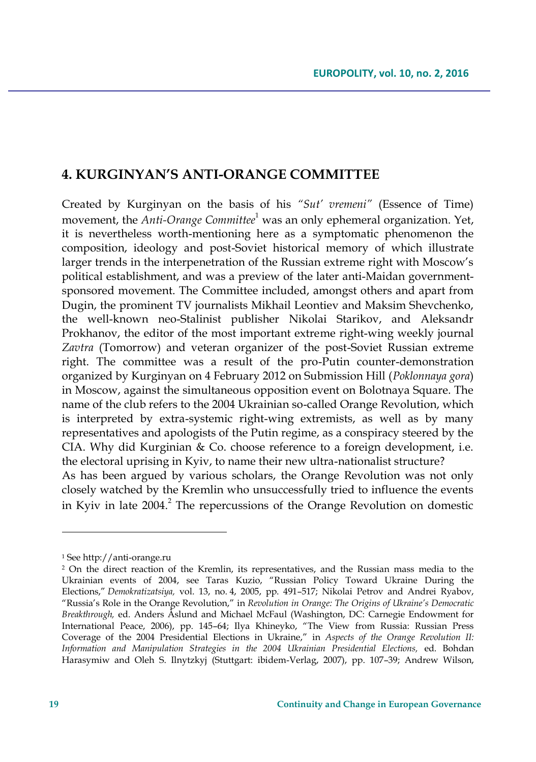### **4. KURGINYAN'S ANTI-ORANGE COMMITTEE**

Created by Kurginyan on the basis of his *"Sut' vremeni"* (Essence of Time) movement, the *Anti-Orange Committee*<sup>1</sup> was an only ephemeral organization. Yet, it is nevertheless worth-mentioning here as a symptomatic phenomenon the composition, ideology and post-Soviet historical memory of which illustrate larger trends in the interpenetration of the Russian extreme right with Moscow's political establishment, and was a preview of the later anti-Maidan governmentsponsored movement. The Committee included, amongst others and apart from Dugin, the prominent TV journalists Mikhail Leontiev and Maksim Shevchenko, the well-known neo-Stalinist publisher Nikolai Starikov, and Aleksandr Prokhanov, the editor of the most important extreme right-wing weekly journal *Zavtra* (Tomorrow) and veteran organizer of the post-Soviet Russian extreme right. The committee was a result of the pro-Putin counter-demonstration organized by Kurginyan on 4 February 2012 on Submission Hill (*Poklonnaya gora*) in Moscow, against the simultaneous opposition event on Bolotnaya Square. The name of the club refers to the 2004 Ukrainian so-called Orange Revolution, which is interpreted by extra-systemic right-wing extremists, as well as by many representatives and apologists of the Putin regime, as a conspiracy steered by the CIA. Why did Kurginian & Co. choose reference to a foreign development, i.e. the electoral uprising in Kyiv, to name their new ultra-nationalist structure? As has been argued by various scholars, the Orange Revolution was not only closely watched by the Kremlin who unsuccessfully tried to influence the events in Kyiv in late 2004.<sup>2</sup> The repercussions of the Orange Revolution on domestic

<sup>1</sup> See http://anti-orange.ru

<sup>2</sup> On the direct reaction of the Kremlin, its representatives, and the Russian mass media to the Ukrainian events of 2004, see Taras Kuzio, "Russian Policy Toward Ukraine During the Elections," *Demokratizatsiya,* vol. 13, no. 4, 2005, pp. 491–517; Nikolai Petrov and Andrei Ryabov, "Russia's Role in the Orange Revolution," in *Revolution in Orange: The Origins of Ukraine's Democratic Breakthrough,* ed. Anders Åslund and Michael McFaul (Washington, DC: Carnegie Endowment for International Peace, 2006), pp. 145–64; Ilya Khineyko, "The View from Russia: Russian Press Coverage of the 2004 Presidential Elections in Ukraine," in *Aspects of the Orange Revolution II: Information and Manipulation Strategies in the 2004 Ukrainian Presidential Elections,* ed. Bohdan Harasymiw and Oleh S. Ilnytzkyj (Stuttgart: ibidem-Verlag, 2007), pp. 107–39; Andrew Wilson,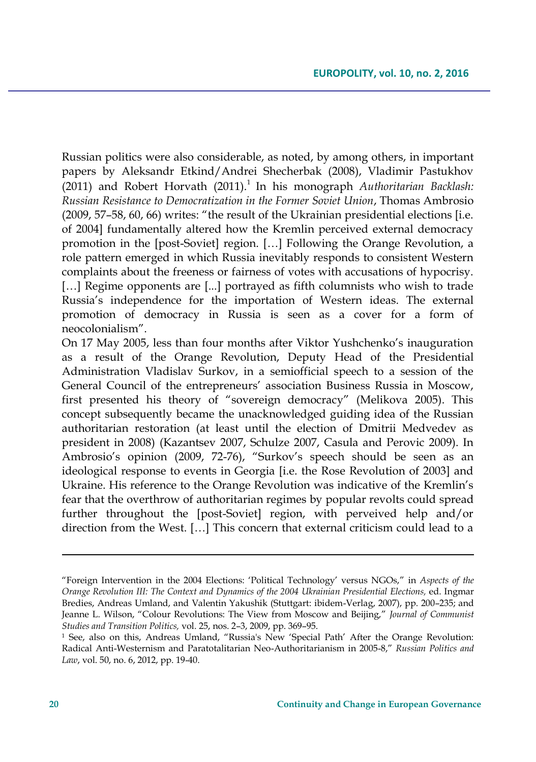Russian politics were also considerable, as noted, by among others, in important papers by Aleksandr Etkind/Andrei Shecherbak (2008), Vladimir Pastukhov (2011) and Robert Horvath (2011).<sup>1</sup> In his monograph *Authoritarian Backlash: Russian Resistance to Democratization in the Former Soviet Union*, Thomas Ambrosio (2009, 57–58, 60, 66) writes: "the result of the Ukrainian presidential elections [i.e. of 2004] fundamentally altered how the Kremlin perceived external democracy promotion in the [post-Soviet] region. […] Following the Orange Revolution, a role pattern emerged in which Russia inevitably responds to consistent Western complaints about the freeness or fairness of votes with accusations of hypocrisy. [...] Regime opponents are [...] portrayed as fifth columnists who wish to trade Russia's independence for the importation of Western ideas. The external promotion of democracy in Russia is seen as a cover for a form of neocolonialism".

On 17 May 2005, less than four months after Viktor Yushchenko's inauguration as a result of the Orange Revolution, Deputy Head of the Presidential Administration Vladislav Surkov, in a semiofficial speech to a session of the General Council of the entrepreneurs' association Business Russia in Moscow, first presented his theory of "sovereign democracy" (Melikova 2005). This concept subsequently became the unacknowledged guiding idea of the Russian authoritarian restoration (at least until the election of Dmitrii Medvedev as president in 2008) (Kazantsev 2007, Schulze 2007, Casula and Perovic 2009). In Ambrosio's opinion (2009, 72-76), "Surkov's speech should be seen as an ideological response to events in Georgia [i.e. the Rose Revolution of 2003] and Ukraine. His reference to the Orange Revolution was indicative of the Kremlin's fear that the overthrow of authoritarian regimes by popular revolts could spread further throughout the [post-Soviet] region, with perveived help and/or direction from the West. […] This concern that external criticism could lead to a

<sup>&</sup>quot;Foreign Intervention in the 2004 Elections: 'Political Technology' versus NGOs," in *Aspects of the Orange Revolution III: The Context and Dynamics of the 2004 Ukrainian Presidential Elections,* ed. Ingmar Bredies, Andreas Umland, and Valentin Yakushik (Stuttgart: ibidem-Verlag, 2007), pp. 200–235; and Jeanne L. Wilson, "Colour Revolutions: The View from Moscow and Beijing," *Journal of Communist Studies and Transition Politics,* vol. 25, nos. 2–3, 2009, pp. 369–95.

<sup>1</sup> See, also on this, Andreas Umland, "Russia's New 'Special Path' After the Orange Revolution: Radical Anti-Westernism and Paratotalitarian Neo-Authoritarianism in 2005-8," *Russian Politics and Law*, vol. 50, no. 6, 2012, pp. 19-40.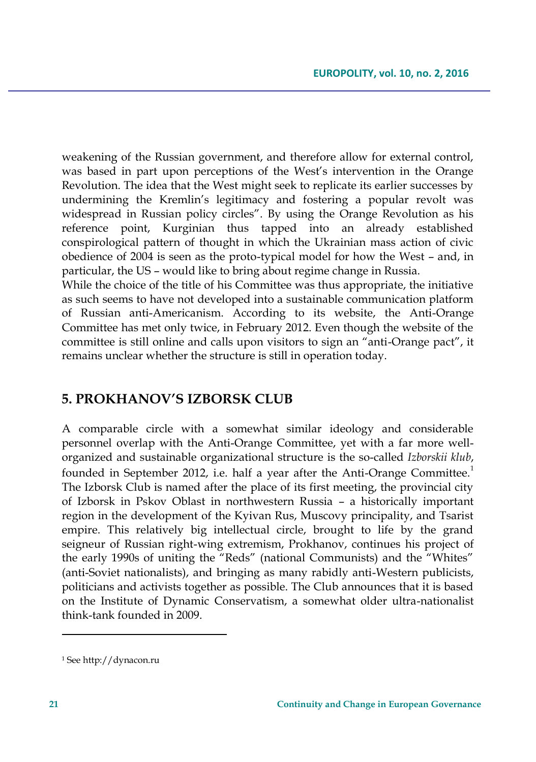weakening of the Russian government, and therefore allow for external control, was based in part upon perceptions of the West's intervention in the Orange Revolution. The idea that the West might seek to replicate its earlier successes by undermining the Kremlin's legitimacy and fostering a popular revolt was widespread in Russian policy circles". By using the Orange Revolution as his reference point, Kurginian thus tapped into an already established conspirological pattern of thought in which the Ukrainian mass action of civic obedience of 2004 is seen as the proto-typical model for how the West – and, in particular, the US – would like to bring about regime change in Russia.

While the choice of the title of his Committee was thus appropriate, the initiative as such seems to have not developed into a sustainable communication platform of Russian anti-Americanism. According to its website, the Anti-Orange Committee has met only twice, in February 2012. Even though the website of the committee is still online and calls upon visitors to sign an "anti-Orange pact", it remains unclear whether the structure is still in operation today.

## **5. PROKHANOV'S IZBORSK CLUB**

A comparable circle with a somewhat similar ideology and considerable personnel overlap with the Anti-Orange Committee, yet with a far more wellorganized and sustainable organizational structure is the so-called *Izborskii klub*, founded in September 2012, i.e. half a year after the Anti-Orange Committee.<sup>1</sup> The Izborsk Club is named after the place of its first meeting, the provincial city of Izborsk in Pskov Oblast in northwestern Russia – a historically important region in the development of the Kyivan Rus, Muscovy principality, and Tsarist empire. This relatively big intellectual circle, brought to life by the grand seigneur of Russian right-wing extremism, Prokhanov, continues his project of the early 1990s of uniting the "Reds" (national Communists) and the "Whites" (anti-Soviet nationalists), and bringing as many rabidly anti-Western publicists, politicians and activists together as possible. The Club announces that it is based on the Institute of Dynamic Conservatism, a somewhat older ultra-nationalist think-tank founded in 2009.

 $\overline{\phantom{a}}$ 

<sup>1</sup> See http://dynacon.ru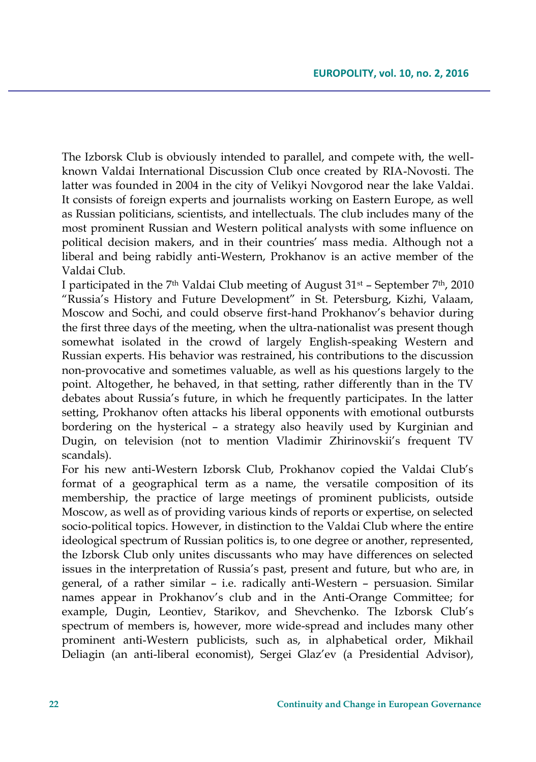The Izborsk Club is obviously intended to parallel, and compete with, the wellknown Valdai International Discussion Club once created by RIA-Novosti. The latter was founded in 2004 in the city of Velikyi Novgorod near the lake Valdai. It consists of foreign experts and journalists working on Eastern Europe, as well as Russian politicians, scientists, and intellectuals. The club includes many of the most prominent Russian and Western political analysts with some influence on political decision makers, and in their countries' mass media. Although not a liberal and being rabidly anti-Western, Prokhanov is an active member of the Valdai Club.

I participated in the 7<sup>th</sup> Valdai Club meeting of August  $31<sup>st</sup>$  – September 7<sup>th</sup>, 2010 "Russia's History and Future Development" in St. Petersburg, Kizhi, Valaam, Moscow and Sochi, and could observe first-hand Prokhanov's behavior during the first three days of the meeting, when the ultra-nationalist was present though somewhat isolated in the crowd of largely English-speaking Western and Russian experts. His behavior was restrained, his contributions to the discussion non-provocative and sometimes valuable, as well as his questions largely to the point. Altogether, he behaved, in that setting, rather differently than in the TV debates about Russia's future, in which he frequently participates. In the latter setting, Prokhanov often attacks his liberal opponents with emotional outbursts bordering on the hysterical – a strategy also heavily used by Kurginian and Dugin, on television (not to mention Vladimir Zhirinovskii's frequent TV scandals).

For his new anti-Western Izborsk Club, Prokhanov copied the Valdai Club's format of a geographical term as a name, the versatile composition of its membership, the practice of large meetings of prominent publicists, outside Moscow, as well as of providing various kinds of reports or expertise, on selected socio-political topics. However, in distinction to the Valdai Club where the entire ideological spectrum of Russian politics is, to one degree or another, represented, the Izborsk Club only unites discussants who may have differences on selected issues in the interpretation of Russia's past, present and future, but who are, in general, of a rather similar – i.e. radically anti-Western – persuasion. Similar names appear in Prokhanov's club and in the Anti-Orange Committee; for example, Dugin, Leontiev, Starikov, and Shevchenko. The Izborsk Club's spectrum of members is, however, more wide-spread and includes many other prominent anti-Western publicists, such as, in alphabetical order, Mikhail Deliagin (an anti-liberal economist), Sergei Glaz'ev (a Presidential Advisor),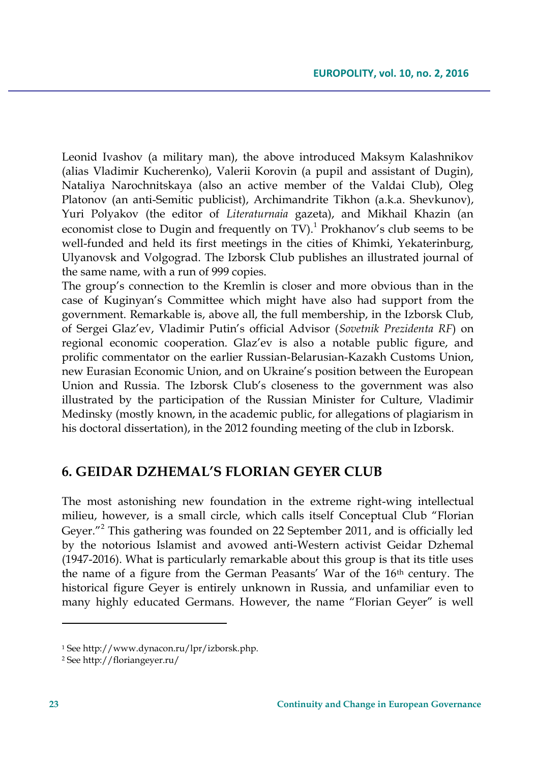Leonid Ivashov (a military man), the above introduced Maksym Kalashnikov (alias Vladimir Kucherenko), Valerii Korovin (a pupil and assistant of Dugin), Nataliya Narochnitskaya (also an active member of the Valdai Club), Oleg Platonov (an anti-Semitic publicist), Archimandrite Tikhon (a.k.a. Shevkunov), Yuri Polyakov (the editor of *Literaturnaia* gazeta), and Mikhail Khazin (an economist close to Dugin and frequently on TV).<sup>1</sup> Prokhanov's club seems to be well-funded and held its first meetings in the cities of Khimki, Yekaterinburg, Ulyanovsk and Volgograd. The Izborsk Club publishes an illustrated journal of the same name, with a run of 999 copies.

The group's connection to the Kremlin is closer and more obvious than in the case of Kuginyan's Committee which might have also had support from the government. Remarkable is, above all, the full membership, in the Izborsk Club, of Sergei Glaz'ev, Vladimir Putin's official Advisor (*Sovetnik Prezidenta RF*) on regional economic cooperation. Glaz'ev is also a notable public figure, and prolific commentator on the earlier Russian-Belarusian-Kazakh Customs Union, new Eurasian Economic Union, and on Ukraine's position between the European Union and Russia. The Izborsk Club's closeness to the government was also illustrated by the participation of the Russian Minister for Culture, Vladimir Medinsky (mostly known, in the academic public, for allegations of plagiarism in his doctoral dissertation), in the 2012 founding meeting of the club in Izborsk.

### **6. GEIDAR DZHEMAL'S FLORIAN GEYER CLUB**

The most astonishing new foundation in the extreme right-wing intellectual milieu, however, is a small circle, which calls itself Conceptual Club "Florian Geyer."<sup>2</sup> This gathering was founded on 22 September 2011, and is officially led by the notorious Islamist and avowed anti-Western activist Geidar Dzhemal (1947-2016). What is particularly remarkable about this group is that its title uses the name of a figure from the German Peasants' War of the 16<sup>th</sup> century. The historical figure Geyer is entirely unknown in Russia, and unfamiliar even to many highly educated Germans. However, the name "Florian Geyer" is well

<sup>1</sup> See http://www.dynacon.ru/lpr/izborsk.php.

<sup>2</sup> See http://floriangeyer.ru/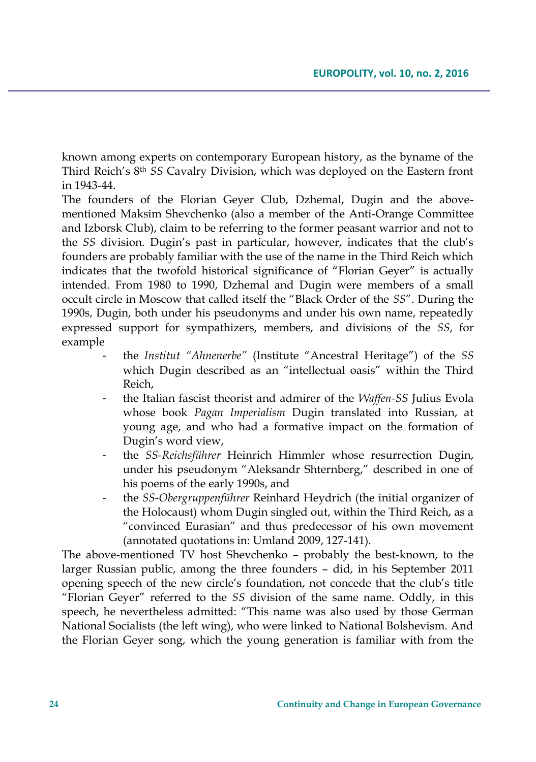known among experts on contemporary European history, as the byname of the Third Reich's 8th *SS* Cavalry Division, which was deployed on the Eastern front in 1943-44.

The founders of the Florian Geyer Club, Dzhemal, Dugin and the abovementioned Maksim Shevchenko (also a member of the Anti-Orange Committee and Izborsk Club), claim to be referring to the former peasant warrior and not to the *SS* division. Dugin's past in particular, however, indicates that the club's founders are probably familiar with the use of the name in the Third Reich which indicates that the twofold historical significance of "Florian Geyer" is actually intended. From 1980 to 1990, Dzhemal and Dugin were members of a small occult circle in Moscow that called itself the "Black Order of the *SS*". During the 1990s, Dugin, both under his pseudonyms and under his own name, repeatedly expressed support for sympathizers, members, and divisions of the *SS*, for example

- the *Institut "Ahnenerbe"* (Institute "Ancestral Heritage") of the *SS* which Dugin described as an "intellectual oasis" within the Third Reich,
- the Italian fascist theorist and admirer of the *Waffen-SS* Julius Evola whose book *Pagan Imperialism* Dugin translated into Russian, at young age, and who had a formative impact on the formation of Dugin's word view,
- the *SS-Reichsführer* Heinrich Himmler whose resurrection Dugin, under his pseudonym "Aleksandr Shternberg," described in one of his poems of the early 1990s, and
- the *SS-Obergruppenführer* Reinhard Heydrich (the initial organizer of the Holocaust) whom Dugin singled out, within the Third Reich, as a "convinced Eurasian" and thus predecessor of his own movement (annotated quotations in: Umland 2009, 127-141).

The above-mentioned TV host Shevchenko – probably the best-known, to the larger Russian public, among the three founders – did, in his September 2011 opening speech of the new circle's foundation, not concede that the club's title "Florian Geyer" referred to the *SS* division of the same name. Oddly, in this speech, he nevertheless admitted: "This name was also used by those German National Socialists (the left wing), who were linked to National Bolshevism. And the Florian Geyer song, which the young generation is familiar with from the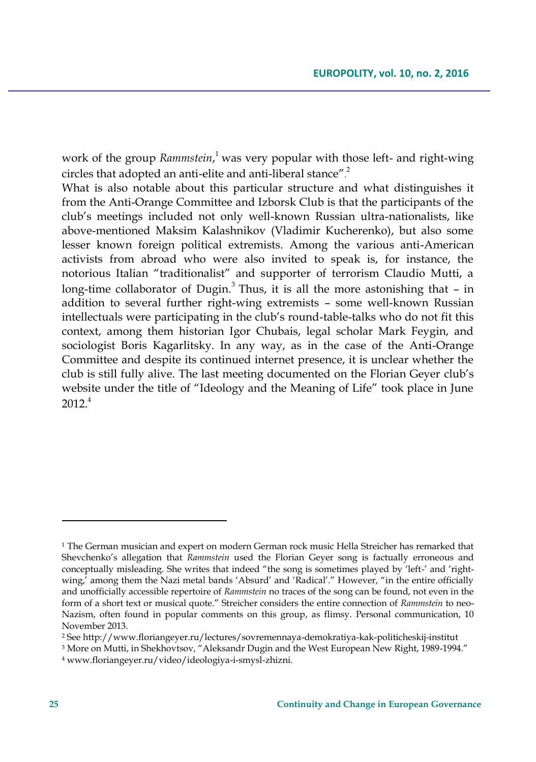work of the group *Rammstein*, <sup>1</sup> was very popular with those left- and right-wing circles that adopted an anti-elite and anti-liberal stance". 2

What is also notable about this particular structure and what distinguishes it from the Anti-Orange Committee and Izborsk Club is that the participants of the club's meetings included not only well-known Russian ultra-nationalists, like above-mentioned Maksim Kalashnikov (Vladimir Kucherenko), but also some lesser known foreign political extremists. Among the various anti-American activists from abroad who were also invited to speak is, for instance, the notorious Italian "traditionalist" and supporter of terrorism Claudio Mutti, a long-time collaborator of Dugin.<sup>3</sup> Thus, it is all the more astonishing that  $-$  in addition to several further right-wing extremists – some well-known Russian intellectuals were participating in the club's round-table-talks who do not fit this context, among them historian Igor Chubais, legal scholar Mark Feygin, and sociologist Boris Kagarlitsky. In any way, as in the case of the Anti-Orange Committee and despite its continued internet presence, it is unclear whether the club is still fully alive. The last meeting documented on the Florian Geyer club's website under the title of "Ideology and the Meaning of Life" took place in June  $2012<sup>4</sup>$ 

 $\overline{\phantom{a}}$ 

<sup>&</sup>lt;sup>1</sup> The German musician and expert on modern German rock music Hella Streicher has remarked that Shevchenko's allegation that *Rammstein* used the Florian Geyer song is factually erroneous and conceptually misleading. She writes that indeed "the song is sometimes played by 'left-' and 'rightwing,<sup>7</sup> among them the Nazi metal bands 'Absurd' and 'Radical'." However, "in the entire officially and unofficially accessible repertoire of *Rammstein* no traces of the song can be found, not even in the form of a short text or musical quote." Streicher considers the entire connection of *Rammstein* to neo-Nazism, often found in popular comments on this group, as flimsy. Personal communication, 10 November 2013.

<sup>2</sup> See http://www.floriangeyer.ru/lectures/sovremennaya-demokratiya-kak-politicheskij-institut

<sup>3</sup> More on Mutti, in Shekhovtsov, "Aleksandr Dugin and the West European New Right, 1989-1994."

<sup>4</sup> www.floriangeyer.ru/video/ideologiya-i-smysl-zhizni.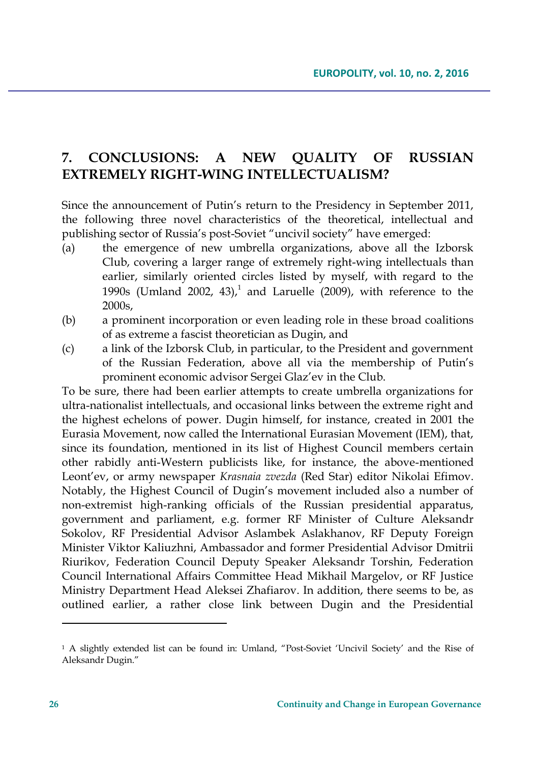## **7. CONCLUSIONS: A NEW QUALITY OF RUSSIAN EXTREMELY RIGHT-WING INTELLECTUALISM?**

Since the announcement of Putin's return to the Presidency in September 2011, the following three novel characteristics of the theoretical, intellectual and publishing sector of Russia's post-Soviet "uncivil society" have emerged:

- (a) the emergence of new umbrella organizations, above all the Izborsk Club, covering a larger range of extremely right-wing intellectuals than earlier, similarly oriented circles listed by myself, with regard to the 1990s (Umland 2002, 43),<sup>1</sup> and Laruelle (2009), with reference to the 2000s,
- (b) a prominent incorporation or even leading role in these broad coalitions of as extreme a fascist theoretician as Dugin, and
- (c) a link of the Izborsk Club, in particular, to the President and government of the Russian Federation, above all via the membership of Putin's prominent economic advisor Sergei Glaz'ev in the Club.

To be sure, there had been earlier attempts to create umbrella organizations for ultra-nationalist intellectuals, and occasional links between the extreme right and the highest echelons of power. Dugin himself, for instance, created in 2001 the Eurasia Movement, now called the International Eurasian Movement (IEM), that, since its foundation, mentioned in its list of Highest Council members certain other rabidly anti-Western publicists like, for instance, the above-mentioned Leont'ev, or army newspaper *Krasnaia zvezda* (Red Star) editor Nikolai Efimov. Notably, the Highest Council of Dugin's movement included also a number of non-extremist high-ranking officials of the Russian presidential apparatus, government and parliament, e.g. former RF Minister of Culture Aleksandr Sokolov, RF Presidential Advisor Aslambek Aslakhanov, RF Deputy Foreign Minister Viktor Kaliuzhni, Ambassador and former Presidential Advisor Dmitrii Riurikov, Federation Council Deputy Speaker Aleksandr Torshin, Federation Council International Affairs Committee Head Mikhail Margelov, or RF Justice Ministry Department Head Aleksei Zhafiarov. In addition, there seems to be, as outlined earlier, a rather close link between Dugin and the Presidential

<sup>&</sup>lt;sup>1</sup> A slightly extended list can be found in: Umland, "Post-Soviet 'Uncivil Society' and the Rise of Aleksandr Dugin."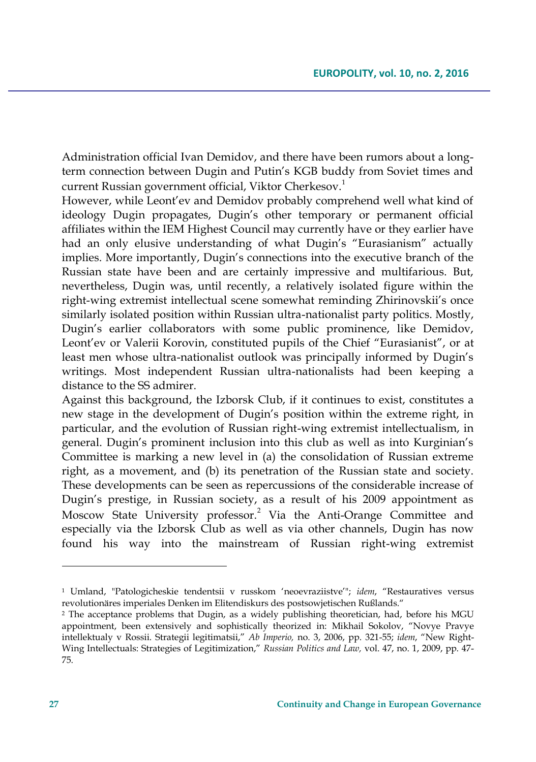Administration official Ivan Demidov, and there have been rumors about a longterm connection between Dugin and Putin's KGB buddy from Soviet times and current Russian government official, Viktor Cherkesov.<sup>1</sup>

However, while Leont'ev and Demidov probably comprehend well what kind of ideology Dugin propagates, Dugin's other temporary or permanent official affiliates within the IEM Highest Council may currently have or they earlier have had an only elusive understanding of what Dugin's "Eurasianism" actually implies. More importantly, Dugin's connections into the executive branch of the Russian state have been and are certainly impressive and multifarious. But, nevertheless, Dugin was, until recently, a relatively isolated figure within the right-wing extremist intellectual scene somewhat reminding Zhirinovskii's once similarly isolated position within Russian ultra-nationalist party politics. Mostly, Dugin's earlier collaborators with some public prominence, like Demidov, Leont'ev or Valerii Korovin, constituted pupils of the Chief "Eurasianist", or at least men whose ultra-nationalist outlook was principally informed by Dugin's writings. Most independent Russian ultra-nationalists had been keeping a distance to the SS admirer.

Against this background, the Izborsk Club, if it continues to exist, constitutes a new stage in the development of Dugin's position within the extreme right, in particular, and the evolution of Russian right-wing extremist intellectualism, in general. Dugin's prominent inclusion into this club as well as into Kurginian's Committee is marking a new level in (a) the consolidation of Russian extreme right, as a movement, and (b) its penetration of the Russian state and society. These developments can be seen as repercussions of the considerable increase of Dugin's prestige, in Russian society, as a result of his 2009 appointment as Moscow State University professor.<sup>2</sup> Via the Anti-Orange Committee and especially via the Izborsk Club as well as via other channels, Dugin has now found his way into the mainstream of Russian right-wing extremist

<sup>1</sup> Umland, "Patologicheskie tendentsii v russkom 'neoevraziistve'"; *idem*, "Restauratives versus revolutionäres imperiales Denken im Elitendiskurs des postsowjetischen Rußlands."

<sup>&</sup>lt;sup>2</sup> The acceptance problems that Dugin, as a widely publishing theoretician, had, before his MGU appointment, been extensively and sophistically theorized in: Mikhail Sokolov, "Novye Pravye intellektualy v Rossii. Strategii legitimatsii," *Ab Imperio,* no. 3, 2006, pp. 321-55; *idem*, "New Right-Wing Intellectuals: Strategies of Legitimization," *Russian Politics and Law,* vol. 47, no. 1, 2009, pp. 47- 75.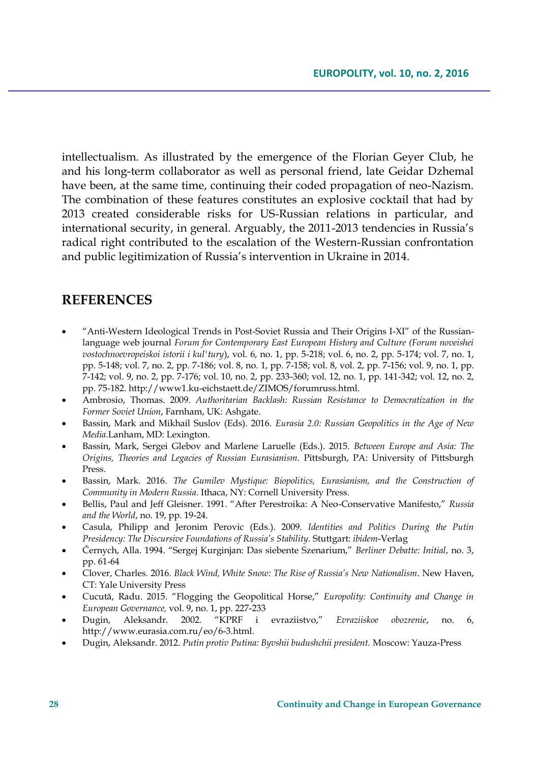intellectualism. As illustrated by the emergence of the Florian Geyer Club, he and his long-term collaborator as well as personal friend, late Geidar Dzhemal have been, at the same time, continuing their coded propagation of neo-Nazism. The combination of these features constitutes an explosive cocktail that had by 2013 created considerable risks for US-Russian relations in particular, and international security, in general. Arguably, the 2011-2013 tendencies in Russia's radical right contributed to the escalation of the Western-Russian confrontation and public legitimization of Russia's intervention in Ukraine in 2014.

#### **REFERENCES**

- "Anti-Western Ideological Trends in Post-Soviet Russia and Their Origins I-XI" of the Russianlanguage web journal *Forum for Contemporary East European History and Culture (Forum noveishei vostochnoevropeiskoi istorii i kul'tury*), vol. 6, no. 1, pp. 5-218; vol. 6, no. 2, pp. 5-174; vol. 7, no. 1, pp. 5-148; vol. 7, no. 2, pp. 7-186; vol. 8, no. 1, pp. 7-158; vol. 8, vol. 2, pp. 7-156; vol. 9, no. 1, pp. 7-142; vol. 9, no. 2, pp. 7-176; vol. 10, no. 2, pp. 233-360; vol. 12, no. 1, pp. 141-342; vol. 12, no. 2, pp. 75-182[. http://www1.ku-eichstaett.de/ZIMOS/forumruss.html.](http://www1.ku-eichstaett.de/ZIMOS/forumruss.html)
- Ambrosio, Thomas. 2009. *Authoritarian Backlash: Russian Resistance to Democratization in the Former Soviet Union*, Farnham, UK: Ashgate.
- Bassin, Mark and Mikhail Suslov (Eds). 2016. *Eurasia 2.0: Russian Geopolitics in the Age of New Media*.Lanham, MD: Lexington.
- Bassin, Mark, Sergei Glebov and Marlene Laruelle (Eds.). 2015. *Between Europe and Asia: The Origins, Theories and Legacies of Russian Eurasianism.* Pittsburgh, PA: University of Pittsburgh Press.
- Bassin, Mark. 2016. *The Gumilev Mystique: Biopolitics, Eurasianism, and the Construction of Community in Modern Russia*. Ithaca, NY: Cornell University Press.
- Bellis, Paul and Jeff Gleisner. 1991. "After Perestroika: A Neo-Conservative Manifesto," *Russia and the World*, no. 19, pp. 19-24.
- Casula, Philipp and Jeronim Perovic (Eds.). 2009. *Identities and Politics During the Putin Presidency: The Discursive Foundations of Russia's Stability*. Stuttgart: *ibidem*-Verlag
- Černych, Alla. 1994. "Sergej Kurginjan: Das siebente Szenarium," *Berliner Debatte: Initial*, no. 3, pp. 61-64
- Clover, Charles. 2016. *Black Wind, White Snow: The Rise of Russia's New Nationalism*. New Haven, CT: Yale University Press
- Cucută, Radu. 2015. "Flogging the Geopolitical Horse," *Europolity: Continuity and Change in European Governance,* vol. 9, no. 1, pp. 227-233
- Dugin, Aleksandr. 2002. "KPRF i evraziistvo," *Evraziiskoe obozrenie*, no. 6, http://www.eurasia.com.ru/eo/6-3.html.
- Dugin, Aleksandr. 2012. *Putin protiv Putina: Byvshii budushchii president.* Moscow: Yauza-Press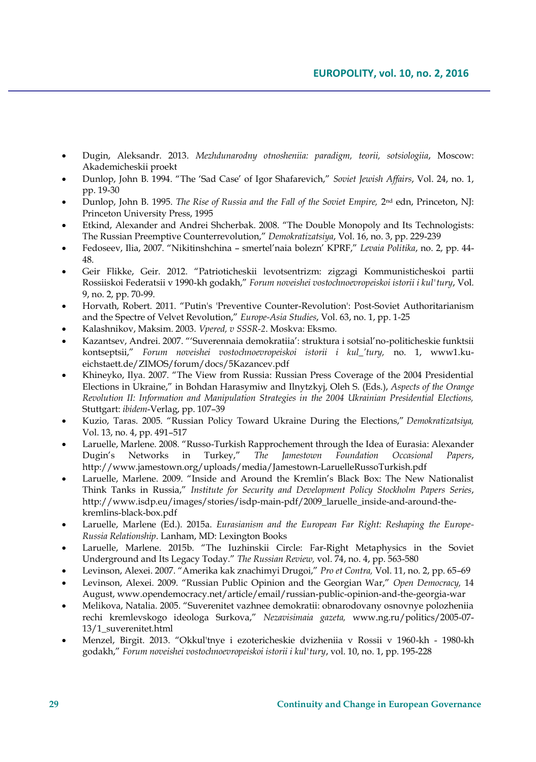- Dugin, Aleksandr. 2013. *Mezhdunarodny otnosheniia: paradigm, teorii, sotsiologiia*, Moscow: Akademicheskii proekt
- Dunlop, John B. 1994. "The 'Sad Case' of Igor Shafarevich," *Soviet Jewish Affairs*, Vol. 24, no. 1, pp. 19-30
- Dunlop, John B. 1995. *The Rise of Russia and the Fall of the Soviet Empire, 2*<sup>nd</sup> edn, Princeton, NJ: Princeton University Press, 1995
- Etkind, Alexander and Andrei Shcherbak. 2008. "The Double Monopoly and Its Technologists: The Russian Preemptive Counterrevolution," *Demokratizatsiya*, Vol. 16, no. 3, pp. 229-239
- Fedoseev, Ilia, 2007. "Nikitinshchina smertel'naia bolezn' KPRF," *Levaia Politika*, no. 2, pp. 44- 48.
- Geir Flikke, Geir. 2012. "Patrioticheskii levotsentrizm: zigzagi Kommunisticheskoi partii Rossiiskoi Federatsii v 1990-kh godakh," *Forum noveishei vostochnoevropeiskoi istorii i kul'tury*, Vol. 9, no. 2, pp. 70-99.
- Horvath, Robert. 2011. "Putin's 'Preventive Counter-Revolution': Post-Soviet Authoritarianism and the Spectre of Velvet Revolution," *Europe-Asia Studies*, Vol. 63, no. 1, pp. 1-25
- Kalashnikov, Maksim. 2003. *Vpered, v SSSR-2*. Moskva: Eksmo.
- Kazantsev, Andrei. 2007. "'Suverennaia demokratiia': struktura i sotsial'no-politicheskie funktsii kontseptsii," *Forum noveishei vostochnoevropeiskoi istorii i kul\_'tury,* no. 1, www1.kueichstaett.de/ZIMOS/forum/docs/5Kazancev.pdf
- Khineyko, Ilya. 2007. "The View from Russia: Russian Press Coverage of the 2004 Presidential Elections in Ukraine," in Bohdan Harasymiw and Ilnytzkyj, Oleh S. (Eds.), *Aspects of the Orange Revolution II: Information and Manipulation Strategies in the 2004 Ukrainian Presidential Elections,* Stuttgart: *ibidem*-Verlag, pp. 107–39
- Kuzio, Taras. 2005. "Russian Policy Toward Ukraine During the Elections," *Demokratizatsiya,* Vol. 13, no. 4, pp. 491–517
- Laruelle, Marlene. 2008. "Russo-Turkish Rapprochement through the Idea of Eurasia: Alexander Dugin's Networks in Turkey," *The Jamestown Foundation Occasional Papers*, http://www.jamestown.org/uploads/media/Jamestown-LaruelleRussoTurkish.pdf
- Laruelle, Marlene. 2009. "Inside and Around the Kremlin's Black Box: The New Nationalist Think Tanks in Russia," *Institute for Security and Development Policy Stockholm Papers Series*, http://www.isdp.eu/images/stories/isdp-main-pdf/2009\_laruelle\_inside-and-around-thekremlins-black-box.pdf
- Laruelle, Marlene (Ed.). 2015a. *Eurasianism and the European Far Right: Reshaping the Europe-Russia Relationship*. Lanham, MD: Lexington Books
- Laruelle, Marlene. 2015b. "The Iuzhinskii Circle: Far-Right Metaphysics in the Soviet Underground and Its Legacy Today." *The Russian Review,* vol. 74, no. 4, pp. 563-580
- Levinson, Alexei. 2007. "Amerika kak znachimyi Drugoi," *Pro et Contra,* Vol. 11, no. 2, pp. 65–69
- Levinson, Alexei. 2009. "Russian Public Opinion and the Georgian War," *Open Democracy,* 14 August, www.opendemocracy.net/article/email/russian-public-opinion-and-the-georgia-war
- Melikova, Natalia. 2005. "Suverenitet vazhnee demokratii: obnarodovany osnovnye polozheniia rechi kremlevskogo ideologa Surkova," *Nezavisimaia gazeta,* www.ng.ru/politics/2005-07- 13/1\_suverenitet.html
- Menzel, Birgit. 2013. "Okkul'tnye i ezotericheskie dvizheniia v Rossii v 1960-kh 1980-kh godakh," *Forum noveishei vostochnoevropeiskoi istorii i kul'tury*, vol. 10, no. 1, pp. 195-228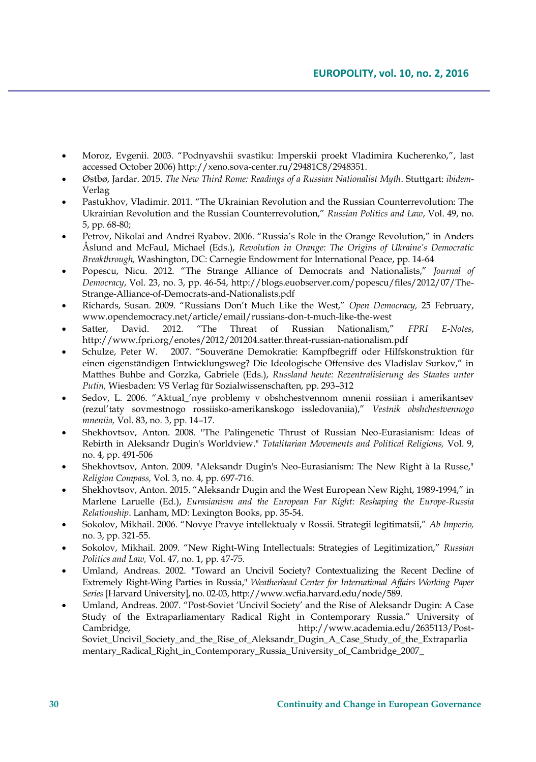- Moroz, Evgenii. 2003. "Podnyavshii svastiku: Imperskii proekt Vladimira Kucherenko,", last accessed October 2006) http://xeno.sova-center.ru/29481C8/2948351.
- Østbø, Jardar. 2015. *The New Third Rome: Readings of a Russian Nationalist Myth*. Stuttgart: *ibidem*-Verlag
- Pastukhov, Vladimir. 2011. "The Ukrainian Revolution and the Russian Counterrevolution: The Ukrainian Revolution and the Russian Counterrevolution," *Russian Politics and Law*, Vol. 49, no. 5, pp. 68-80;
- Petrov, Nikolai and Andrei Ryabov. 2006. "Russia's Role in the Orange Revolution," in Anders Åslund and McFaul, Michael (Eds.), *Revolution in Orange: The Origins of Ukraine's Democratic Breakthrough,* Washington, DC: Carnegie Endowment for International Peace, pp. 14-64
- Popescu, Nicu. 2012. "The Strange Alliance of Democrats and Nationalists," *Journal of Democracy*, Vol. 23, no. 3, pp. 46-54, http://blogs.euobserver.com/popescu/files/2012/07/The-Strange-Alliance-of-Democrats-and-Nationalists.pdf
- Richards, Susan. 2009. "Russians Don't Much Like the West," *Open Democracy,* 25 February, www.opendemocracy.net/article/email/russians-don-t-much-like-the-west
- Satter, David. 2012. "The Threat of Russian Nationalism," *FPRI E-Notes*, http://www.fpri.org/enotes/2012/201204.satter.threat-russian-nationalism.pdf
- Schulze, Peter W. 2007. "Souveräne Demokratie: Kampfbegriff oder Hilfskonstruktion für einen eigenständigen Entwicklungsweg? Die Ideologische Offensive des Vladislav Surkov," in Matthes Buhbe and Gorzka, Gabriele (Eds.), *Russland heute: Rezentralisierung des Staates unter Putin,* Wiesbaden: VS Verlag für Sozialwissenschaften, pp. 293–312
- Sedov, L. 2006. "Aktual\_'nye problemy v obshchestvennom mnenii rossiian i amerikantsev (rezul'taty sovmestnogo rossiisko-amerikanskogo issledovaniia)," *Vestnik obshchestvennogo mneniia,* Vol. 83, no. 3, pp. 14–17.
- Shekhovtsov, Anton. 2008. "The Palingenetic Thrust of Russian Neo-Eurasianism: Ideas of Rebirth in Aleksandr Dugin's Worldview." *Totalitarian Movements and Political Religions,* Vol. 9, no. 4, pp. 491-506
- Shekhovtsov, Anton. 2009. "Aleksandr Dugin's Neo-Eurasianism: The New Right à la Russe," *Religion Compass,* Vol. 3, no. 4, pp. 697-716.
- Shekhovtsov, Anton. 2015. "Aleksandr Dugin and the West European New Right, 1989-1994," in Marlene Laruelle (Ed.), *Eurasianism and the European Far Right: Reshaping the Europe-Russia Relationship*. Lanham, MD: Lexington Books, pp. 35-54.
- Sokolov, Mikhail. 2006. "Novye Pravye intellektualy v Rossii. Strategii legitimatsii," *Ab Imperio,* no. 3, pp. 321-55.
- Sokolov, Mikhail. 2009. "New Right-Wing Intellectuals: Strategies of Legitimization," *Russian Politics and Law,* Vol. 47, no. 1, pp. 47-75.
- Umland, Andreas. 2002. "Toward an Uncivil Society? Contextualizing the Recent Decline of Extremely Right-Wing Parties in Russia," *Weatherhead Center for International Affairs Working Paper Series* [Harvard University], no. 02-03, http://www.wcfia.harvard.edu/node/589.
- Umland, Andreas. 2007. "Post-Soviet 'Uncivil Society' and the Rise of Aleksandr Dugin: A Case Study of the Extraparliamentary Radical Right in Contemporary Russia." University of Cambridge, http://www.academia.edu/2635113/Post-Soviet\_Uncivil\_Society\_and\_the\_Rise\_of\_Aleksandr\_Dugin\_A\_Case\_Study\_of\_the\_Extraparlia mentary\_Radical\_Right\_in\_Contemporary\_Russia\_University\_of\_Cambridge\_2007\_